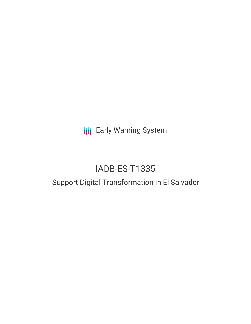**III** Early Warning System

# IADB-ES-T1335

## Support Digital Transformation in El Salvador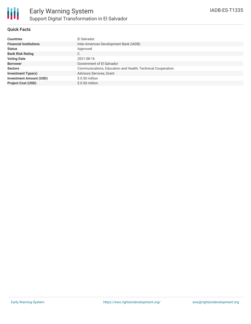

### **Quick Facts**

| <b>Countries</b>               | El Salvador                                                 |
|--------------------------------|-------------------------------------------------------------|
| <b>Financial Institutions</b>  | Inter-American Development Bank (IADB)                      |
| <b>Status</b>                  | Approved                                                    |
| <b>Bank Risk Rating</b>        | C                                                           |
| <b>Voting Date</b>             | 2021-08-16                                                  |
| <b>Borrower</b>                | Government of El Salvador                                   |
| <b>Sectors</b>                 | Communications, Education and Health, Technical Cooperation |
| <b>Investment Type(s)</b>      | Advisory Services, Grant                                    |
| <b>Investment Amount (USD)</b> | \$0.50 million                                              |
| <b>Project Cost (USD)</b>      | $$0.50$ million                                             |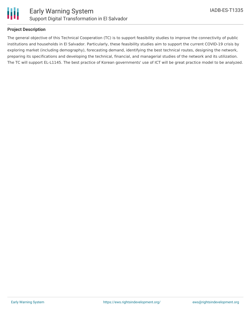

### **Project Description**

The general objective of this Technical Cooperation (TC) is to support feasibility studies to improve the connectivity of public institutions and households in El Salvador. Particularly, these feasibility studies aim to support the current COVID-19 crisis by exploring market (including demography), forecasting demand, identifying the best technical routes, designing the network, preparing its specifications and developing the technical, financial, and managerial studies of the network and its utilization. The TC will support EL-L1145. The best practice of Korean governments' use of ICT will be great practice model to be analyzed.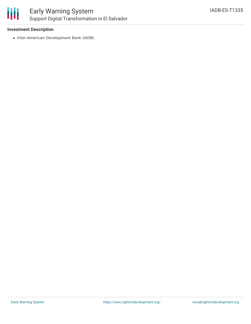

### Early Warning System Support Digital Transformation in El Salvador

### **Investment Description**

• Inter-American Development Bank (IADB)